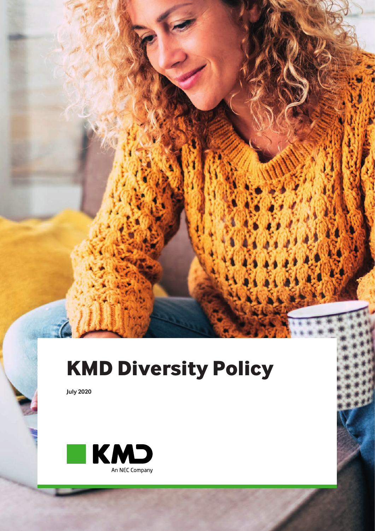## **KMD Diversity Policy**

**July 2020**